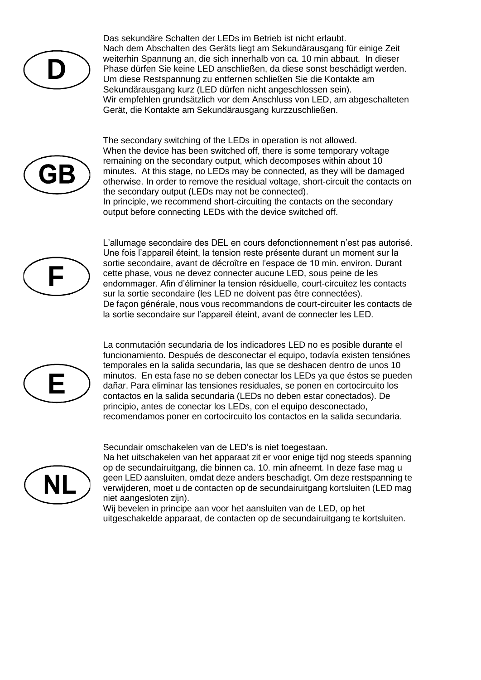

Das sekundäre Schalten der LEDs im Betrieb ist nicht erlaubt. Nach dem Abschalten des Geräts liegt am Sekundärausgang für einige Zeit weiterhin Spannung an, die sich innerhalb von ca. 10 min abbaut. In dieser Phase dürfen Sie keine LED anschließen, da diese sonst beschädigt werden. Um diese Restspannung zu entfernen schließen Sie die Kontakte am Sekundärausgang kurz (LED dürfen nicht angeschlossen sein). Wir empfehlen grundsätzlich vor dem Anschluss von LED, am abgeschalteten Gerät, die Kontakte am Sekundärausgang kurzzuschließen.



The secondary switching of the LEDs in operation is not allowed. When the device has been switched off, there is some temporary voltage remaining on the secondary output, which decomposes within about 10 minutes. At this stage, no LEDs may be connected, as they will be damaged otherwise. In order to remove the residual voltage, short-circuit the contacts on the secondary output (LEDs may not be connected). In principle, we recommend short-circuiting the contacts on the secondary output before connecting LEDs with the device switched off.



L'allumage secondaire des DEL en cours defonctionnement n'est pas autorisé. Une fois l'appareil éteint, la tension reste présente durant un moment sur la sortie secondaire, avant de décroître en l'espace de 10 min. environ. Durant cette phase, vous ne devez connecter aucune LED, sous peine de les endommager. Afin d'éliminer la tension résiduelle, court-circuitez les contacts sur la sortie secondaire (les LED ne doivent pas être connectées). De façon générale, nous vous recommandons de court-circuiter les contacts de la sortie secondaire sur l'appareil éteint, avant de connecter les LED.



La conmutación secundaria de los indicadores LED no es posible durante el funcionamiento. Después de desconectar el equipo, todavía existen tensiónes temporales en la salida secundaria, las que se deshacen dentro de unos 10 minutos. En esta fase no se deben conectar los LEDs ya que éstos se pueden dañar. Para eliminar las tensiones residuales, se ponen en cortocircuito los contactos en la salida secundaria (LEDs no deben estar conectados). De principio, antes de conectar los LEDs, con el equipo desconectado, recomendamos poner en cortocircuito los contactos en la salida secundaria.

Secundair omschakelen van de LED's is niet toegestaan.



Na het uitschakelen van het apparaat zit er voor enige tijd nog steeds spanning op de secundairuitgang, die binnen ca. 10. min afneemt. In deze fase mag u geen LED aansluiten, omdat deze anders beschadigt. Om deze restspanning te verwijderen, moet u de contacten op de secundairuitgang kortsluiten (LED mag niet aangesloten zijn).

Wij bevelen in principe aan voor het aansluiten van de LED, op het uitgeschakelde apparaat, de contacten op de secundairuitgang te kortsluiten.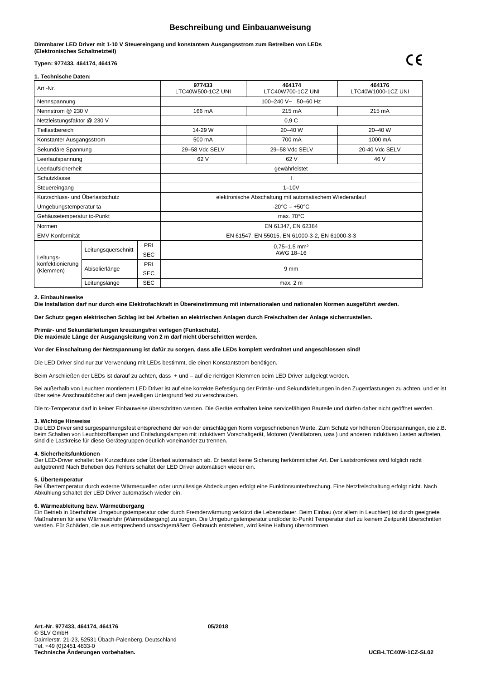# **Beschreibung und Einbauanweisung**

# **Dimmbarer LED Driver mit 1-10 V Steuereingang und konstantem Ausgangsstrom zum Betreiben von LEDs (Elektronisches Schaltnetzteil)**

# **Typen: 977433, 464174, 464176**

# **1. Technische Daten:**

| Art.-Nr.                                   |                     | 977433<br>LTC40W500-1CZ UNI | 464174<br>LTC40W700-1CZ UNI                              | 464176<br>LTC40W1000-1CZ UNI      |                |  |
|--------------------------------------------|---------------------|-----------------------------|----------------------------------------------------------|-----------------------------------|----------------|--|
| Nennspannung                               |                     |                             | 100-240 V~ 50-60 Hz                                      |                                   |                |  |
| Nennstrom @ 230 V                          |                     |                             | 166 mA                                                   | 215 mA                            | 215 mA         |  |
| Netzleistungsfaktor @ 230 V                |                     |                             | 0,9C                                                     |                                   |                |  |
| Teillastbereich                            |                     |                             | 14-29 W                                                  | 20-40 W                           | 20-40 W        |  |
| Konstanter Ausgangsstrom                   |                     |                             | 500 mA                                                   | 700 mA                            | 1000 mA        |  |
| Sekundäre Spannung                         |                     |                             | 29-58 Vdc SELV                                           | 29-58 Vdc SELV                    | 20-40 Vdc SELV |  |
| Leerlaufspannung                           |                     |                             | 62 V                                                     | 62 V                              | 46 V           |  |
| Leerlaufsicherheit                         |                     |                             | gewährleistet                                            |                                   |                |  |
| Schutzklasse                               |                     |                             |                                                          |                                   |                |  |
| Steuereingang                              |                     |                             | $1 - 10V$                                                |                                   |                |  |
| Kurzschluss- und Überlastschutz            |                     |                             | elektronische Abschaltung mit automatischem Wiederanlauf |                                   |                |  |
| Umgebungstemperatur ta                     |                     |                             |                                                          | $-20^{\circ}$ C $- +50^{\circ}$ C |                |  |
| Gehäusetemperatur tc-Punkt                 |                     |                             | max. $70^{\circ}$ C                                      |                                   |                |  |
| Normen                                     |                     |                             | EN 61347, EN 62384                                       |                                   |                |  |
| EMV Konformität                            |                     |                             | EN 61547, EN 55015, EN 61000-3-2, EN 61000-3-3           |                                   |                |  |
| Leitungs-<br>konfektionierung<br>(Klemmen) | Leitungsquerschnitt | PRI                         | $0.75 - 1.5$ mm <sup>2</sup>                             |                                   |                |  |
|                                            |                     | <b>SEC</b>                  | AWG 18-16                                                |                                   |                |  |
|                                            | Abisolierlänge      | PRI                         | 9 <sub>mm</sub>                                          |                                   |                |  |
|                                            |                     | <b>SEC</b>                  |                                                          |                                   |                |  |
|                                            | Leitungslänge       | <b>SEC</b>                  | max. 2 m                                                 |                                   |                |  |

### **2. Einbauhinweise**

**Die Installation darf nur durch eine Elektrofachkraft in Übereinstimmung mit internationalen und nationalen Normen ausgeführt werden.**

**Der Schutz gegen elektrischen Schlag ist bei Arbeiten an elektrischen Anlagen durch Freischalten der Anlage sicherzustellen.**

**Primär- und Sekundärleitungen kreuzungsfrei verlegen (Funkschutz). Die maximale Länge der Ausgangsleitung von 2 m darf nicht überschritten werden.**

**Vor der Einschaltung der Netzspannung ist dafür zu sorgen, dass alle LEDs komplett verdrahtet und angeschlossen sind!**

Die LED Driver sind nur zur Verwendung mit LEDs bestimmt, die einen Konstantstrom benötigen.

Beim Anschließen der LEDs ist darauf zu achten, dass + und – auf die richtigen Klemmen beim LED Driver aufgelegt werden.

Bei außerhalb von Leuchten montiertem LED Driver ist auf eine korrekte Befestigung der Primär- und Sekundärleitungen in den Zugentlastungen zu achten, und er ist über seine Anschraublöcher auf dem jeweiligen Untergrund fest zu verschrauben.

Die tc-Temperatur darf in keiner Einbauweise überschritten werden. Die Geräte enthalten keine servicefähigen Bauteile und dürfen daher nicht geöffnet werden.

#### **3. Wichtige Hinweise**

Die LED Driver sind surgespannungsfest entsprechend der von der einschlägigen Norm vorgeschriebenen Werte. Zum Schutz vor höheren Überspannungen, die z.B. beim Schalten von Leuchtstofflampen und Entladungslampen mit induktivem Vorschaltgerät, Motoren (Ventilatoren, usw.) und anderen induktiven Lasten auftreten, sind die Lastkreise für diese Gerätegruppen deutlich voneinander zu trennen.

#### **4. Sicherheitsfunktionen**

Der LED-Driver schaltet bei Kurzschluss oder Überlast automatisch ab. Er besitzt keine Sicherung herkömmlicher Art. Der Laststromkreis wird folglich nicht aufgetrennt! Nach Beheben des Fehlers schaltet der LED Driver automatisch wieder ein.

# **5. Übertemperatur**

Bei Übertemperatur durch externe Wärmequellen oder unzulässige Abdeckungen erfolgt eine Funktionsunterbrechung. Eine Netzfreischaltung erfolgt nicht. Nach Abkühlung schaltet der LED Driver automatisch wieder ein.

## **6. Wärmeableitung bzw. Wärmeübergang**

Ein Betrieb in überhöhter Umgebungstemperatur oder durch Fremderwärmung verkürzt die Lebensdauer. Beim Einbau (vor allem in Leuchten) ist durch geeignete Maßnahmen für eine Wärmeabfuhr (Wärmeübergang) zu sorgen. Die Umgebungstemperatur und/oder tc-Punkt Temperatur darf zu keinem Zeitpunkt überschritten werden. Für Schäden, die aus entsprechend unsachgemäßem Gebrauch entstehen, wird keine Haftung übernommen.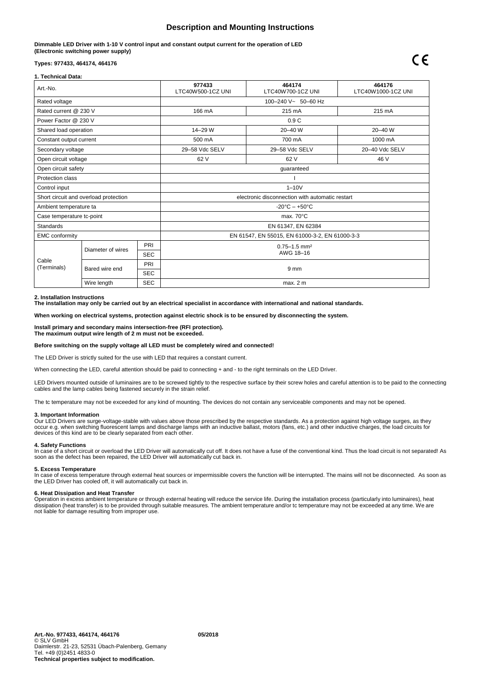# **Description and Mounting Instructions**

**Dimmable LED Driver with 1-10 V control input and constant output current for the operation of LED (Electronic switching power supply)**

# **Types: 977433, 464174, 464176**

## **1. Technical Data:**

| Art.-No.                              |                           |            | 977433<br>LTC40W500-1CZ UNI                     | 464174<br>LTC40W700-1CZ UNI | 464176<br>LTC40W1000-1CZ UNI |  |
|---------------------------------------|---------------------------|------------|-------------------------------------------------|-----------------------------|------------------------------|--|
| Rated voltage                         |                           |            | 100-240 V~ 50-60 Hz                             |                             |                              |  |
| Rated current @ 230 V                 |                           |            | 166 mA                                          | 215 mA                      | 215 mA                       |  |
| Power Factor @ 230 V                  |                           |            | 0.9C                                            |                             |                              |  |
| Shared load operation                 |                           |            | 14-29 W                                         | 20-40 W                     | 20-40 W                      |  |
| Constant output current               |                           |            | 500 mA                                          | 700 mA                      | 1000 mA                      |  |
| Secondary voltage                     |                           |            | 29-58 Vdc SELV                                  | 29-58 Vdc SELV              | 20-40 Vdc SELV               |  |
| Open circuit voltage                  |                           |            | 62 V                                            | 62 V                        | 46 V                         |  |
| Open circuit safety                   |                           |            | guaranteed                                      |                             |                              |  |
| Protection class                      |                           |            |                                                 |                             |                              |  |
| Control input                         |                           |            | $1-10V$                                         |                             |                              |  |
| Short circuit and overload protection |                           |            | electronic disconnection with automatic restart |                             |                              |  |
| Ambient temperature ta                |                           |            | $-20^{\circ}$ C - $+50^{\circ}$ C               |                             |                              |  |
| Case temperature tc-point             |                           |            | max. $70^{\circ}$ C                             |                             |                              |  |
| <b>Standards</b>                      |                           |            | EN 61347, EN 62384                              |                             |                              |  |
| <b>EMC</b> conformity                 |                           |            | EN 61547, EN 55015, EN 61000-3-2, EN 61000-3-3  |                             |                              |  |
| Cable<br>(Terminals)                  | Diameter of wires         | PRI        | $0.75 - 1.5$ mm <sup>2</sup><br>AWG 18-16       |                             |                              |  |
|                                       |                           | <b>SEC</b> |                                                 |                             |                              |  |
|                                       | Bared wire end            | PRI        | 9 <sub>mm</sub>                                 |                             |                              |  |
|                                       |                           | <b>SEC</b> |                                                 |                             |                              |  |
|                                       | <b>SEC</b><br>Wire length |            | max. 2 m                                        |                             |                              |  |

#### **2. Installation Instructions**

**The installation may only be carried out by an electrical specialist in accordance with international and national standards.**

**When working on electrical systems, protection against electric shock is to be ensured by disconnecting the system.**

**Install primary and secondary mains intersection-free (RFI protection). The maximum output wire length of 2 m must not be exceeded.**

## **Before switching on the supply voltage all LED must be completely wired and connected!**

The LED Driver is strictly suited for the use with LED that requires a constant current.

When connecting the LED, careful attention should be paid to connecting + and - to the right terminals on the LED Driver.

LED Drivers mounted outside of luminaires are to be screwed tightly to the respective surface by their screw holes and careful attention is to be paid to the connecting cables and the lamp cables being fastened securely in the strain relief.

The tc temperature may not be exceeded for any kind of mounting. The devices do not contain any serviceable components and may not be opened.

#### **3. Important Information**

Our LED Drivers are surge-voltage-stable with values above those prescribed by the respective standards. As a protection against high voltage surges, as they occur e.g. when switching fluorescent lamps and discharge lamps with an inductive ballast, motors (fans, etc.) and other inductive charges, the load circuits for<br>devices of this kind are to be clearly separated from each o

#### **4. Safety Functions**

In case of a short circuit or overload the LED Driver will automatically cut off. It does not have a fuse of the conventional kind. Thus the load circuit is not separated! As soon as the defect has been repaired, the LED Driver will automatically cut back in.

#### **5. Excess Temperature**

In case of excess temperature through external heat sources or impermissible covers the function will be interrupted. The mains will not be disconnected. As soon as<br>the LED Driver has cooled off, it will automatically cut

#### **6. Heat Dissipation and Heat Transfer**

Operation in excess ambient temperature or through external heating will reduce the service life. During the installation process (particularly into luminaires), heat dissipation (heat transfer) is to be provided through suitable measures. The ambient temperature and/or tc temperature may not be exceeded at any time. We are not liable for damage resulting from improper use.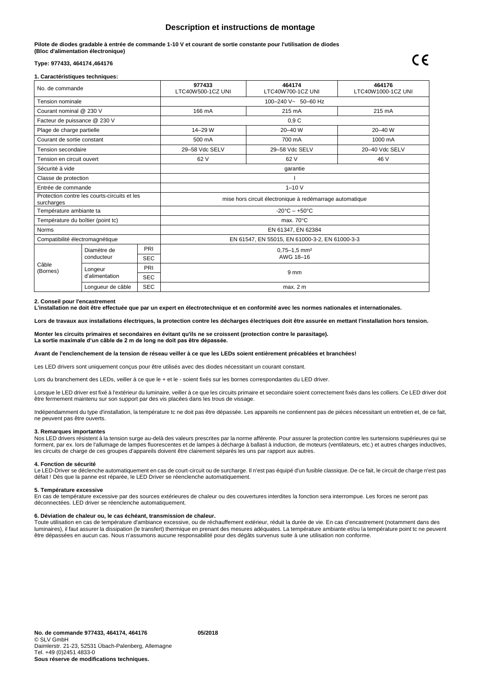# **Description et instructions de montage**

**Pilote de diodes gradable à entrée de commande 1-10 V et courant de sortie constante pour l'utilisation de diodes (Bloc d'alimentation électronique)**

# **Type: 977433, 464174,464176**

## **1. Caractéristiques techniques:**

| No. de commande                                            |                                 | 977433<br>LTC40W500-1CZ UNI                              | 464174<br>LTC40W700-1CZ UNI                    | 464176<br>LTC40W1000-1CZ UNI |                |
|------------------------------------------------------------|---------------------------------|----------------------------------------------------------|------------------------------------------------|------------------------------|----------------|
| Tension nominale                                           |                                 |                                                          | 100-240 V~ 50-60 Hz                            |                              |                |
| Courant nominal @ 230 V                                    |                                 |                                                          | 166 mA                                         | 215 mA                       | 215 mA         |
| Facteur de puissance @ 230 V                               |                                 |                                                          |                                                | 0.9C                         |                |
| Plage de charge partielle                                  |                                 |                                                          | 14-29 W                                        | 20-40 W                      | 20-40 W        |
| Courant de sortie constant                                 |                                 |                                                          | 500 mA                                         | 700 mA                       | 1000 mA        |
| Tension secondaire                                         |                                 |                                                          | 29-58 Vdc SELV                                 | 29-58 Vdc SELV               | 20-40 Vdc SELV |
| Tension en circuit ouvert                                  |                                 |                                                          | 62 V                                           | 62 V                         | 46 V           |
| Sécurité à vide                                            |                                 |                                                          |                                                | garantie                     |                |
| Classe de protection                                       |                                 |                                                          |                                                |                              |                |
| Entrée de commande                                         |                                 |                                                          | $1 - 10V$                                      |                              |                |
| Protection contre les courts-circuits et les<br>surcharges |                                 | mise hors circuit électronique à redémarrage automatique |                                                |                              |                |
| Température ambiante ta                                    |                                 | $-20^{\circ}$ C $- +50^{\circ}$ C                        |                                                |                              |                |
| Température du boîtier (point tc)                          |                                 |                                                          | max. 70°C                                      |                              |                |
| <b>Norms</b>                                               |                                 |                                                          | EN 61347, EN 62384                             |                              |                |
| Compatibilité électromagnétique                            |                                 |                                                          | EN 61547, EN 55015, EN 61000-3-2, EN 61000-3-3 |                              |                |
| Câble<br>(Bornes)                                          | Diamètre de<br>conducteur       | PRI                                                      | $0.75 - 1.5$ mm <sup>2</sup><br>AWG 18-16      |                              |                |
|                                                            |                                 | <b>SEC</b>                                               |                                                |                              |                |
|                                                            | Longeur<br>d'alimentation       | PRI                                                      | 9 <sub>mm</sub>                                |                              |                |
|                                                            |                                 | <b>SEC</b>                                               |                                                |                              |                |
|                                                            | <b>SEC</b><br>Lonqueur de câble |                                                          | max. 2 m                                       |                              |                |

### **2. Conseil pour l'encastrement**

**L'installation ne doit être effectuée que par un expert en électrotechnique et en conformité avec les normes nationales et internationales.**

**Lors de travaux aux installations électriques, la protection contre les décharges électriques doit être assurée en mettant l'installation hors tension.** 

### **Monter les circuits primaires et secondaires en évitant qu'ils ne se croissent (protection contre le parasitage). La sortie maximale d'un câble de 2 m de long ne doit pas être dépassée.**

## **Avant de l'enclenchement de la tension de réseau veiller à ce que les LEDs soient entièrement précablées et branchées!**

Les LED drivers sont uniquement conçus pour être utilisés avec des diodes nécessitant un courant constant.

Lors du branchement des LEDs, veiller à ce que le + et le - soient fixés sur les bornes correspondantes du LED driver.

Lorsque le LED driver est fixé à l'extérieur du luminaire, veiller à ce que les circuits primaire et secondaire soient correctement fixés dans les colliers. Ce LED driver doit être fermement maintenu sur son support par des vis placées dans les trous de vissage.

Indépendamment du type d'installation, la température tc ne doit pas être dépassée. Les appareils ne contiennent pas de pièces nécessitant un entretien et, de ce fait, ne peuvent pas être ouverts.

#### **3. Remarques importantes**

Nos LED drivers résistent à la tension surge au-delà des valeurs prescrites par la norme afférente. Pour assurer la protection contre les surtensions supérieures qui se forment, par ex. lors de l'allumage de lampes fluorescentes et de lampes à décharge à ballast à induction, de moteurs (ventilateurs, etc.) et autres charges inductives, les circuits de charge de ces groupes d'appareils doivent être clairement séparés les uns par rapport aux autres.

# **4. Fonction de sécurité**

Le LED-Driver se déclenche automatiquement en cas de court-circuit ou de surcharge. Il n'est pas équipé d'un fusible classique. De ce fait, le circuit de charge n'est pas défait ! Dès que la panne est réparée, le LED Driver se réenclenche automatiquement.

# **5. Température excessive**

En cas de température excessive par des sources extérieures de chaleur ou des couvertures interdites la fonction sera interrompue. Les forces ne seront pas déconnectées. LED driver se réenclenche automatiquement.

# **6. Déviation de chaleur ou, le cas échéant, transmission de chaleur.**

Toute utilisation en cas de température d'ambiance excessive, ou de réchauffement extérieur, réduit la durée de vie. En cas d'encastrement (notamment dans des luminaires), il faut assurer la dissipation (le transfert) thermique en prenant des mesures adéquates. La température ambiante et/ou la température point tc ne peuvent être dépassées en aucun cas. Nous n'assumons aucune responsabilité pour des dégâts survenus suite à une utilisation non conforme.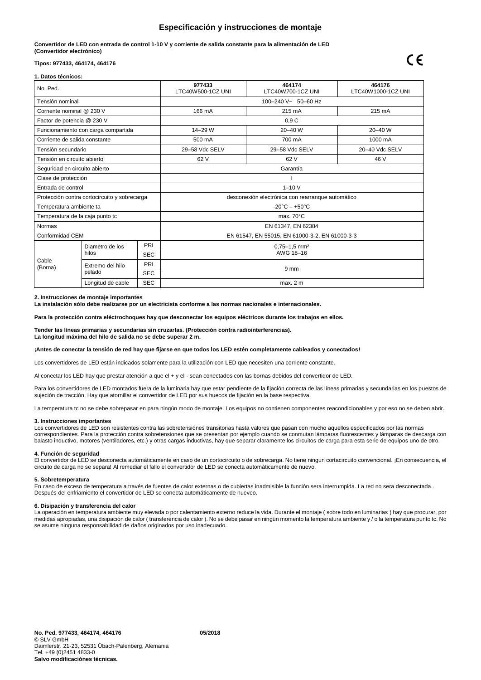# **Especificación y instrucciones de montaje**

**Convertidor de LED con entrada de control 1-10 V y corriente de salida constante para la alimentación de LED (Convertidor electrónico)**

# **Tipos: 977433, 464174, 464176**

## **1. Datos técnicos:**

| No. Ped.                                     |                                 |                                                   | 977433<br>LTC40W500-1CZ UNI                    | 464174<br>LTC40W700-1CZ UNI | 464176<br>LTC40W1000-1CZ UNI |  |
|----------------------------------------------|---------------------------------|---------------------------------------------------|------------------------------------------------|-----------------------------|------------------------------|--|
| Tensión nominal                              |                                 |                                                   | 100-240 V~ 50-60 Hz                            |                             |                              |  |
| Corriente nominal @ 230 V                    |                                 |                                                   | 166 mA                                         | 215 mA                      | 215 mA                       |  |
| Factor de potencia @ 230 V                   |                                 |                                                   | 0.9C                                           |                             |                              |  |
| Funcionamiento con carga compartida          |                                 |                                                   | 14-29 W                                        | 20-40 W                     | 20-40 W                      |  |
| Corriente de salida constante                |                                 |                                                   | 500 mA                                         | 700 mA                      | 1000 mA                      |  |
| Tensión secundario                           |                                 |                                                   | 29-58 Vdc SELV                                 | 29-58 Vdc SELV              | 20-40 Vdc SELV               |  |
| Tensión en circuito abierto                  |                                 |                                                   | 62 V                                           | 62 V                        | 46 V                         |  |
| Seguridad en circuito abierto                |                                 |                                                   | Garantía                                       |                             |                              |  |
| Clase de protección                          |                                 |                                                   |                                                |                             |                              |  |
| Entrada de control                           |                                 |                                                   | $1 - 10V$                                      |                             |                              |  |
| Protección contra cortocircuito y sobrecarga |                                 | desconexión electrónica con rearranque automático |                                                |                             |                              |  |
| Temperatura ambiente ta                      |                                 | $-20^{\circ}$ C $- +50^{\circ}$ C                 |                                                |                             |                              |  |
| Temperatura de la caja punto tc              |                                 |                                                   | max. $70^{\circ}$ C                            |                             |                              |  |
| Normas                                       |                                 |                                                   | EN 61347, EN 62384                             |                             |                              |  |
| Conformidad CEM                              |                                 |                                                   | EN 61547, EN 55015, EN 61000-3-2, EN 61000-3-3 |                             |                              |  |
| Cable<br>(Borna)                             | Diametro de los<br>hilos        | PRI                                               | $0.75 - 1.5$ mm <sup>2</sup><br>AWG 18-16      |                             |                              |  |
|                                              |                                 | <b>SEC</b>                                        |                                                |                             |                              |  |
|                                              | Extremo del hilo<br>pelado      | PRI                                               | 9 <sub>mm</sub>                                |                             |                              |  |
|                                              |                                 | <b>SEC</b>                                        |                                                |                             |                              |  |
|                                              | <b>SEC</b><br>Longitud de cable |                                                   | max. 2 m                                       |                             |                              |  |

#### **2. Instrucciones de montaje importantes**

**La instalación sólo debe realizarse por un electricista conforme a las normas nacionales e internacionales.**

**Para la protección contra eléctrochoques hay que desconectar los equipos eléctricos durante los trabajos en ellos.**

**Tender las líneas primarias y secundarias sin cruzarlas. (Protección contra radiointerferencias). La longitud máxima del hilo de salida no se debe superar 2 m.**

## **¡Antes de conectar la tensión de red hay que fijarse en que todos los LED estén completamente cableados y conectados!**

Los convertidores de LED están indicados solamente para la utilización con LED que necesiten una corriente constante.

Al conectar los LED hay que prestar atención a que el + y el - sean conectados con las bornas debidos del convertidor de LED.

Para los convertidores de LED montados fuera de la luminaria hay que estar pendiente de la fijación correcta de las líneas primarias y secundarias en los puestos de sujeción de tracción. Hay que atornillar el convertidor de LED por sus huecos de fijación en la base respectiva.

La temperatura tc no se debe sobrepasar en para ningún modo de montaje. Los equipos no contienen componentes reacondicionables y por eso no se deben abrir.

#### **3. Instrucciones importantes**

Los convertidores de LED son resistentes contra las sobretensiónes transitorias hasta valores que pasan con mucho aquellos especificados por las normas correspondientes. Para la protección contra sobretensiones que se presentan por ejemplo cuando se conmutan lámparas fluorescentes y lámparas de descarga con balasto inductivo, motores (ventiladores, etc.) y otras cargas inductivas, hay que separar claramente los circuitos de carga para esta serie de equipos uno de otro.

#### **4. Función de seguridad**

El convertidor de LED se desconecta automáticamente en caso de un cortocircuito o de sobrecarga. No tiene ningun cortacircuito convencional. ¡En consecuencia, el circuito de carga no se separa! Al remediar el fallo el convertidor de LED se conecta automáticamente de nuevo.

## **5. Sobretemperatura**

En caso de exceso de temperatura a través de fuentes de calor externas o de cubiertas inadmisible la función sera interrumpida. La red no sera desconectada.. Después del enfriamiento el convertidor de LED se conecta automáticamente de nueveo.

## **6. Disipación y transferencia del calor**

La operación en temperatura ambiente muy elevada o por calentamiento externo reduce la vida. Durante el montaje ( sobre todo en luminarias ) hay que procurar, por medidas apropiadas, una disipación de calor ( transferencia de calor ). No se debe pasar en ningún momento la temperatura ambiente y / o la temperatura punto tc. No se asume ninguna responsabilidad de daños originados por uso inadecuado.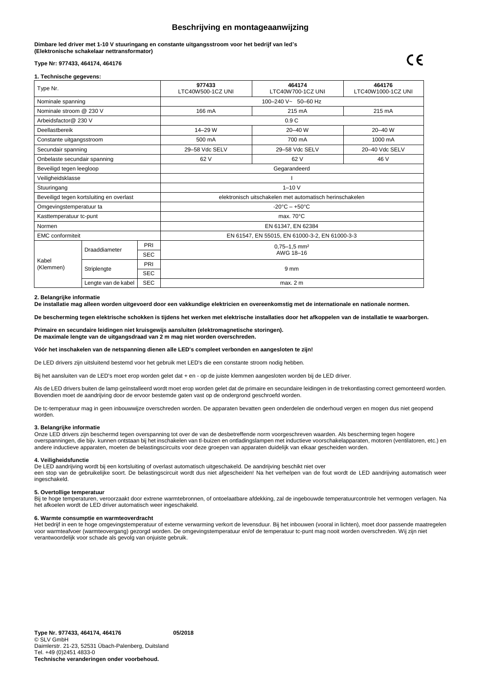# **Beschrijving en montageaanwijzing**

**Dimbare led driver met 1-10 V stuuringang en constante uitgangsstroom voor het bedrijf van led's (Elektronische schakelaar nettransformator)**

# **Type Nr: 977433, 464174, 464176**

# **1. Technische gegevens:**

| Type Nr.                                 |                                   |            | 977433<br>LTC40W500-1CZ UNI                              | 464174<br>LTC40W700-1CZ UNI | 464176<br>LTC40W1000-1CZ UNI |  |
|------------------------------------------|-----------------------------------|------------|----------------------------------------------------------|-----------------------------|------------------------------|--|
| Nominale spanning                        |                                   |            | 100-240 V~ 50-60 Hz                                      |                             |                              |  |
| Nominale stroom @ 230 V                  |                                   |            | 166 mA                                                   | 215 mA                      | 215 mA                       |  |
| Arbeidsfactor@ 230 V                     |                                   |            | 0.9C                                                     |                             |                              |  |
| Deellastbereik                           |                                   |            | $14 - 29$ W                                              | $20 - 40$ W                 | $20 - 40$ W                  |  |
| Constante uitgangsstroom                 |                                   |            | 500 mA                                                   | 700 mA                      | 1000 mA                      |  |
| Secundair spanning                       |                                   |            | 29-58 Vdc SELV                                           | 29-58 Vdc SELV              | 20-40 Vdc SELV               |  |
| Onbelaste secundair spanning             |                                   |            | 62 V                                                     | 62 V                        | 46 V                         |  |
| Beveiligd tegen leegloop                 |                                   |            | Gegarandeerd                                             |                             |                              |  |
| Veiligheidsklasse                        |                                   |            |                                                          |                             |                              |  |
| Stuuringang                              |                                   |            | $1 - 10V$                                                |                             |                              |  |
| Beveiligd tegen kortsluiting en overlast |                                   |            | elektronisch uitschakelen met automatisch herinschakelen |                             |                              |  |
| Omgevingstemperatuur ta                  |                                   |            | $-20^{\circ}$ C $- +50^{\circ}$ C                        |                             |                              |  |
| Kasttemperatuur tc-punt                  |                                   |            | max. $70^{\circ}$ C                                      |                             |                              |  |
| Normen                                   |                                   |            | EN 61347, EN 62384                                       |                             |                              |  |
| <b>EMC</b> conformiteit                  |                                   |            | EN 61547, EN 55015, EN 61000-3-2, EN 61000-3-3           |                             |                              |  |
| Kabel<br>(Klemmen)                       | Draaddiameter                     | PRI        | $0.75 - 1.5$ mm <sup>2</sup>                             |                             |                              |  |
|                                          |                                   | <b>SEC</b> | AWG 18-16                                                |                             |                              |  |
|                                          | Striplengte                       | PRI        | 9 <sub>mm</sub>                                          |                             |                              |  |
|                                          |                                   | <b>SEC</b> |                                                          |                             |                              |  |
|                                          | <b>SEC</b><br>Lengte van de kabel |            | max. 2 m                                                 |                             |                              |  |

#### **2. Belangrijke informatie**

**De installatie mag alleen worden uitgevoerd door een vakkundige elektricien en overeenkomstig met de internationale en nationale normen.**

**De bescherming tegen elektrische schokken is tijdens het werken met elektrische installaties door het afkoppelen van de installatie te waarborgen.** 

**Primaire en secundaire leidingen niet kruisgewijs aansluiten (elektromagnetische storingen). De maximale lengte van de uitgangsdraad van 2 m mag niet worden overschreden.**

**Vóór het inschakelen van de netspanning dienen alle LED's compleet verbonden en aangesloten te zijn!**

De LED drivers zijn uitsluitend bestemd voor het gebruik met LED's die een constante stroom nodig hebben.

Bij het aansluiten van de LED's moet erop worden gelet dat + en - op de juiste klemmen aangesloten worden bij de LED driver.

Als de LED drivers buiten de lamp geïnstalleerd wordt moet erop worden gelet dat de primaire en secundaire leidingen in de trekontlasting correct gemonteerd worden. Bovendien moet de aandrijving door de ervoor bestemde gaten vast op de ondergrond geschroefd worden.

De tc-temperatuur mag in geen inbouwwijze overschreden worden. De apparaten bevatten geen onderdelen die onderhoud vergen en mogen dus niet geopend worden.

# **3. Belangrijke informatie**

Onze LED drivers zijn beschermd tegen overspanning tot over de van de desbetreffende norm voorgeschreven waarden. Als bescherming tegen hogere overspanningen, die bijv. kunnen ontstaan bij het inschakelen van tl-buizen en ontladingslampen met inductieve voorschakelapparaten, motoren (ventilatoren, etc.) en andere inductieve apparaten, moeten de belastingscircuits voor deze groepen van apparaten duidelijk van elkaar gescheiden worden.

### **4. Veiligheidsfunctie**

ingeschakeld.

De LED aandrijving wordt bij een kortsluiting of overlast automatisch uitgeschakeld. De aandrijving beschikt niet over een stop van de gebruikelijke soort. De belastingscircuit wordt dus niet afgescheiden! Na het verhelpen van de fout wordt de LED aandrijving automatisch weer

#### **5. Overtollige temperatuur**

Bij te hoge temperaturen, veroorzaakt door extrene warmtebronnen, of ontoelaatbare afdekking, zal de ingebouwde temperatuurcontrole het vermogen verlagen. Na het afkoelen wordt de LED driver automatisch weer ingeschakeld.

### **6. Warmte consumptie en warmteoverdracht**

Het bedrijf in een te hoge omgevingstemperatuur of externe verwarming verkort de levensduur. Bij het inbouwen (vooral in lichten), moet door passende maatregelen voor warmteafvoer (warmteovergang) gezorgd worden. De omgevingstemperatuur en/of de temperatuur tc-punt mag nooit worden overschreden. Wij zijn niet verantwoordelijk voor schade als gevolg van onjuiste gebruik.